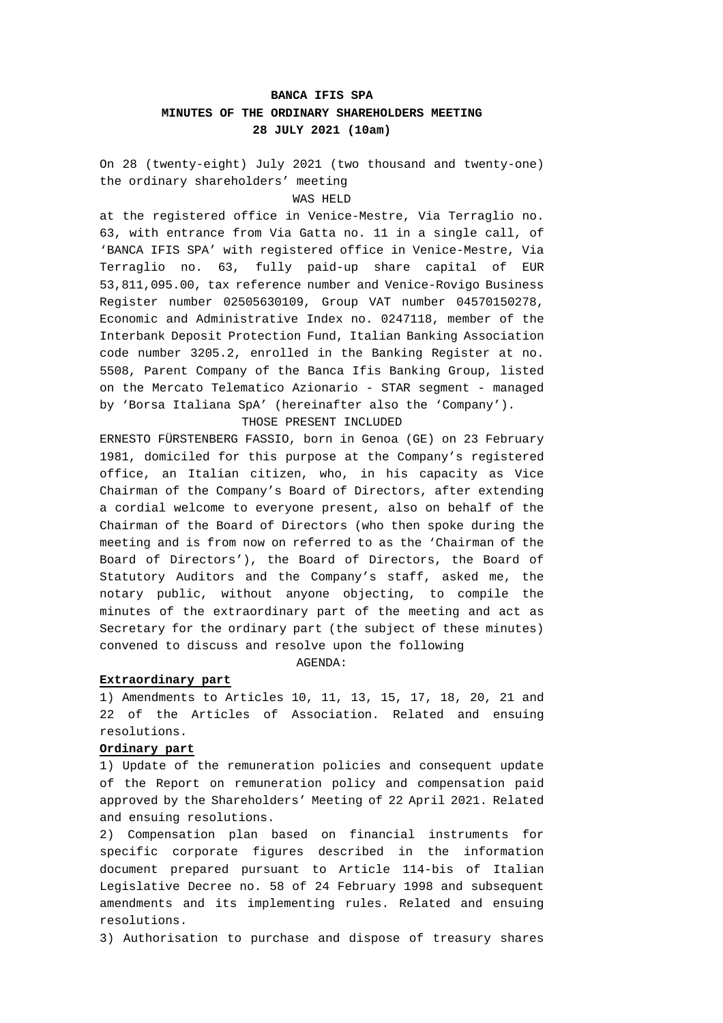# **BANCA IFIS SPA MINUTES OF THE ORDINARY SHAREHOLDERS MEETING 28 JULY 2021 (10am)**

On 28 (twenty-eight) July 2021 (two thousand and twenty-one) the ordinary shareholders' meeting WAS HELD

at the registered office in Venice-Mestre, Via Terraglio no. 63, with entrance from Via Gatta no. 11 in a single call, of 'BANCA IFIS SPA' with registered office in Venice-Mestre, Via Terraglio no. 63, fully paid-up share capital of EUR 53,811,095.00, tax reference number and Venice-Rovigo Business Register number 02505630109, Group VAT number 04570150278, Economic and Administrative Index no. 0247118, member of the Interbank Deposit Protection Fund, Italian Banking Association code number 3205.2, enrolled in the Banking Register at no. 5508, Parent Company of the Banca Ifis Banking Group, listed on the Mercato Telematico Azionario - STAR segment - managed by 'Borsa Italiana SpA' (hereinafter also the 'Company'). THOSE PRESENT INCLUDED

ERNESTO FÜRSTENBERG FASSIO, born in Genoa (GE) on 23 February 1981, domiciled for this purpose at the Company's registered office, an Italian citizen, who, in his capacity as Vice Chairman of the Company's Board of Directors, after extending a cordial welcome to everyone present, also on behalf of the Chairman of the Board of Directors (who then spoke during the meeting and is from now on referred to as the 'Chairman of the Board of Directors'), the Board of Directors, the Board of Statutory Auditors and the Company's staff, asked me, the notary public, without anyone objecting, to compile the minutes of the extraordinary part of the meeting and act as Secretary for the ordinary part (the subject of these minutes) convened to discuss and resolve upon the following

AGENDA:

# **Extraordinary part**

1) Amendments to Articles 10, 11, 13, 15, 17, 18, 20, 21 and 22 of the Articles of Association. Related and ensuing resolutions.

# **Ordinary part**

1) Update of the remuneration policies and consequent update of the Report on remuneration policy and compensation paid approved by the Shareholders' Meeting of 22 April 2021. Related and ensuing resolutions.

2) Compensation plan based on financial instruments for specific corporate figures described in the information document prepared pursuant to Article 114-bis of Italian Legislative Decree no. 58 of 24 February 1998 and subsequent amendments and its implementing rules. Related and ensuing resolutions.

3) Authorisation to purchase and dispose of treasury shares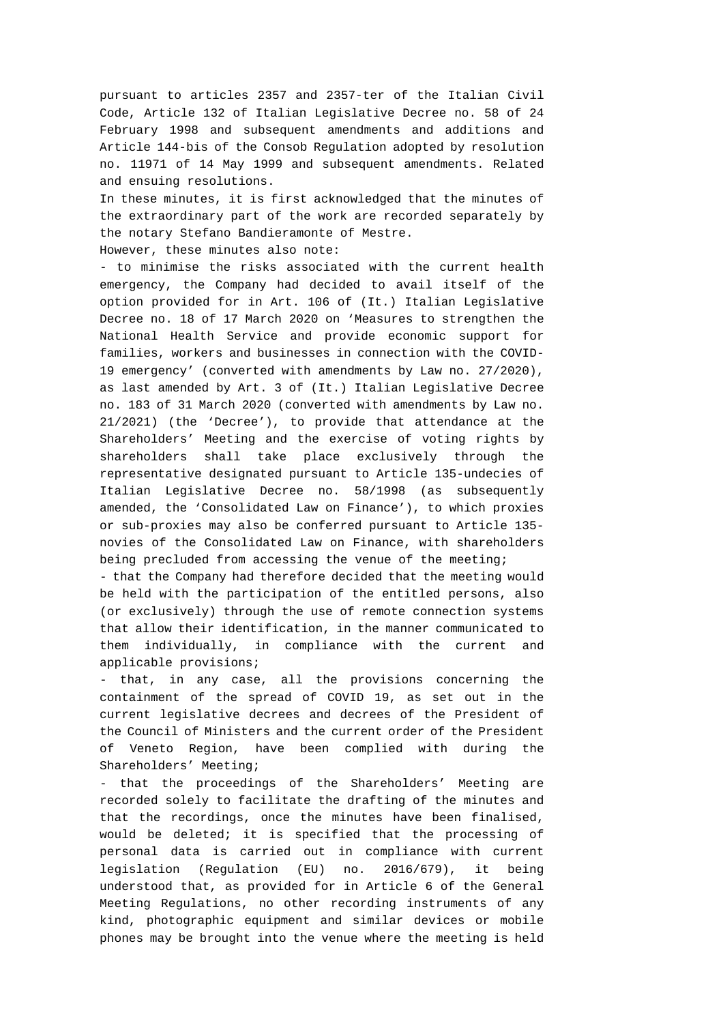pursuant to articles 2357 and 2357-ter of the Italian Civil Code, Article 132 of Italian Legislative Decree no. 58 of 24 February 1998 and subsequent amendments and additions and Article 144-bis of the Consob Regulation adopted by resolution no. 11971 of 14 May 1999 and subsequent amendments. Related and ensuing resolutions.

In these minutes, it is first acknowledged that the minutes of the extraordinary part of the work are recorded separately by the notary Stefano Bandieramonte of Mestre.

However, these minutes also note:

- to minimise the risks associated with the current health emergency, the Company had decided to avail itself of the option provided for in Art. 106 of (It.) Italian Legislative Decree no. 18 of 17 March 2020 on 'Measures to strengthen the National Health Service and provide economic support for families, workers and businesses in connection with the COVID-19 emergency' (converted with amendments by Law no. 27/2020), as last amended by Art. 3 of (It.) Italian Legislative Decree no. 183 of 31 March 2020 (converted with amendments by Law no. 21/2021) (the 'Decree'), to provide that attendance at the Shareholders' Meeting and the exercise of voting rights by shareholders shall take place exclusively through the representative designated pursuant to Article 135-undecies of Italian Legislative Decree no. 58/1998 (as subsequently amended, the 'Consolidated Law on Finance'), to which proxies or sub-proxies may also be conferred pursuant to Article 135 novies of the Consolidated Law on Finance, with shareholders being precluded from accessing the venue of the meeting;

- that the Company had therefore decided that the meeting would be held with the participation of the entitled persons, also (or exclusively) through the use of remote connection systems that allow their identification, in the manner communicated to them individually, in compliance with the current and applicable provisions;

- that, in any case, all the provisions concerning the containment of the spread of COVID 19, as set out in the current legislative decrees and decrees of the President of the Council of Ministers and the current order of the President of Veneto Region, have been complied with during the Shareholders' Meeting;

- that the proceedings of the Shareholders' Meeting are recorded solely to facilitate the drafting of the minutes and that the recordings, once the minutes have been finalised, would be deleted; it is specified that the processing of personal data is carried out in compliance with current legislation (Regulation (EU) no. 2016/679), it being understood that, as provided for in Article 6 of the General Meeting Regulations, no other recording instruments of any kind, photographic equipment and similar devices or mobile phones may be brought into the venue where the meeting is held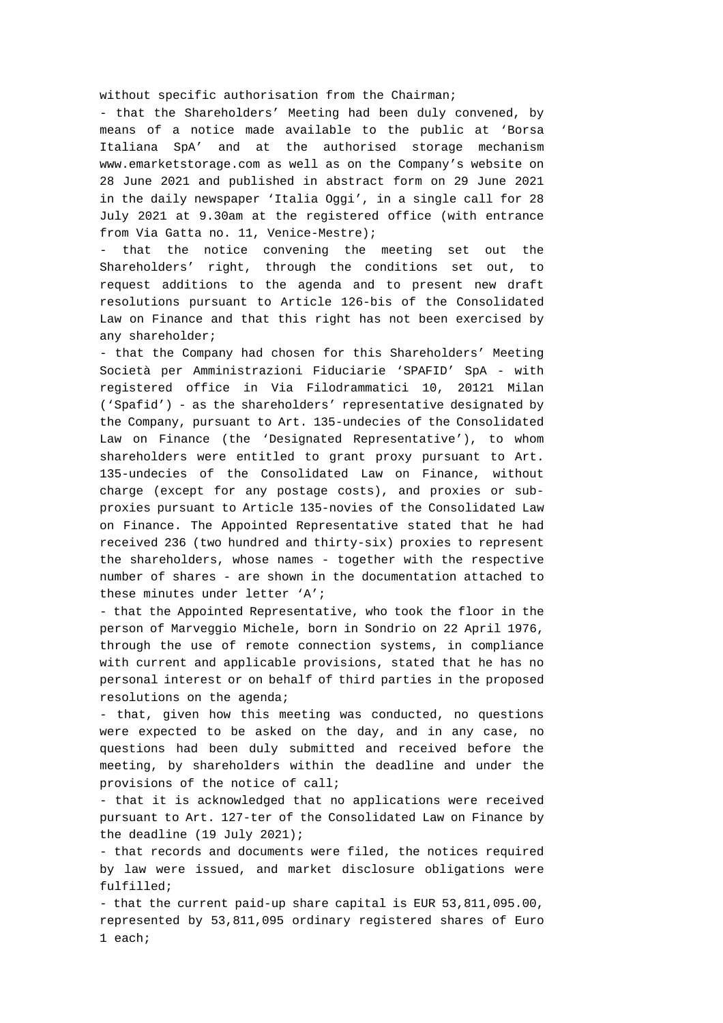without specific authorisation from the Chairman;

- that the Shareholders' Meeting had been duly convened, by means of a notice made available to the public at 'Borsa Italiana SpA' and at the authorised storage mechanism www.emarketstorage.com as well as on the Company's website on 28 June 2021 and published in abstract form on 29 June 2021 in the daily newspaper 'Italia Oggi', in a single call for 28 July 2021 at 9.30am at the registered office (with entrance from Via Gatta no. 11, Venice-Mestre);

- that the notice convening the meeting set out the Shareholders' right, through the conditions set out, to request additions to the agenda and to present new draft resolutions pursuant to Article 126-bis of the Consolidated Law on Finance and that this right has not been exercised by any shareholder;

- that the Company had chosen for this Shareholders' Meeting Società per Amministrazioni Fiduciarie 'SPAFID' SpA - with registered office in Via Filodrammatici 10, 20121 Milan ('Spafid') - as the shareholders' representative designated by the Company, pursuant to Art. 135-undecies of the Consolidated Law on Finance (the 'Designated Representative'), to whom shareholders were entitled to grant proxy pursuant to Art. 135-undecies of the Consolidated Law on Finance, without charge (except for any postage costs), and proxies or subproxies pursuant to Article 135-novies of the Consolidated Law on Finance. The Appointed Representative stated that he had received 236 (two hundred and thirty-six) proxies to represent the shareholders, whose names - together with the respective number of shares - are shown in the documentation attached to these minutes under letter 'A';

- that the Appointed Representative, who took the floor in the person of Marveggio Michele, born in Sondrio on 22 April 1976, through the use of remote connection systems, in compliance with current and applicable provisions, stated that he has no personal interest or on behalf of third parties in the proposed resolutions on the agenda;

- that, given how this meeting was conducted, no questions were expected to be asked on the day, and in any case, no questions had been duly submitted and received before the meeting, by shareholders within the deadline and under the provisions of the notice of call;

- that it is acknowledged that no applications were received pursuant to Art. 127-ter of the Consolidated Law on Finance by the deadline (19 July 2021);

- that records and documents were filed, the notices required by law were issued, and market disclosure obligations were fulfilled;

- that the current paid-up share capital is EUR 53,811,095.00, represented by 53,811,095 ordinary registered shares of Euro 1 each;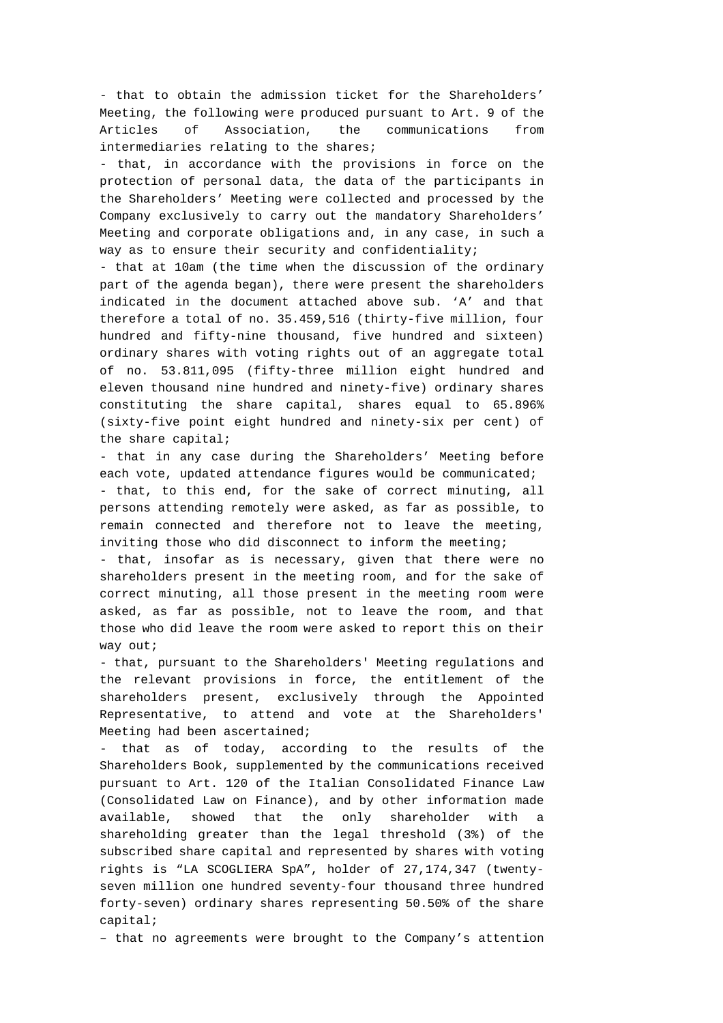- that to obtain the admission ticket for the Shareholders' Meeting, the following were produced pursuant to Art. 9 of the Articles of Association, the communications from intermediaries relating to the shares;

- that, in accordance with the provisions in force on the protection of personal data, the data of the participants in the Shareholders' Meeting were collected and processed by the Company exclusively to carry out the mandatory Shareholders' Meeting and corporate obligations and, in any case, in such a way as to ensure their security and confidentiality;

- that at 10am (the time when the discussion of the ordinary part of the agenda began), there were present the shareholders indicated in the document attached above sub. 'A' and that therefore a total of no. 35.459,516 (thirty-five million, four hundred and fifty-nine thousand, five hundred and sixteen) ordinary shares with voting rights out of an aggregate total of no. 53.811,095 (fifty-three million eight hundred and eleven thousand nine hundred and ninety-five) ordinary shares constituting the share capital, shares equal to 65.896% (sixty-five point eight hundred and ninety-six per cent) of the share capital;

- that in any case during the Shareholders' Meeting before each vote, updated attendance figures would be communicated; - that, to this end, for the sake of correct minuting, all persons attending remotely were asked, as far as possible, to remain connected and therefore not to leave the meeting, inviting those who did disconnect to inform the meeting;

- that, insofar as is necessary, given that there were no shareholders present in the meeting room, and for the sake of correct minuting, all those present in the meeting room were asked, as far as possible, not to leave the room, and that those who did leave the room were asked to report this on their way out;

- that, pursuant to the Shareholders' Meeting regulations and the relevant provisions in force, the entitlement of the shareholders present, exclusively through the Appointed Representative, to attend and vote at the Shareholders' Meeting had been ascertained;

that as of today, according to the results of the Shareholders Book, supplemented by the communications received pursuant to Art. 120 of the Italian Consolidated Finance Law (Consolidated Law on Finance), and by other information made available, showed that the only shareholder with shareholding greater than the legal threshold (3%) of the subscribed share capital and represented by shares with voting rights is "LA SCOGLIERA SpA", holder of 27,174,347 (twentyseven million one hundred seventy-four thousand three hundred forty-seven) ordinary shares representing 50.50% of the share capital;

– that no agreements were brought to the Company's attention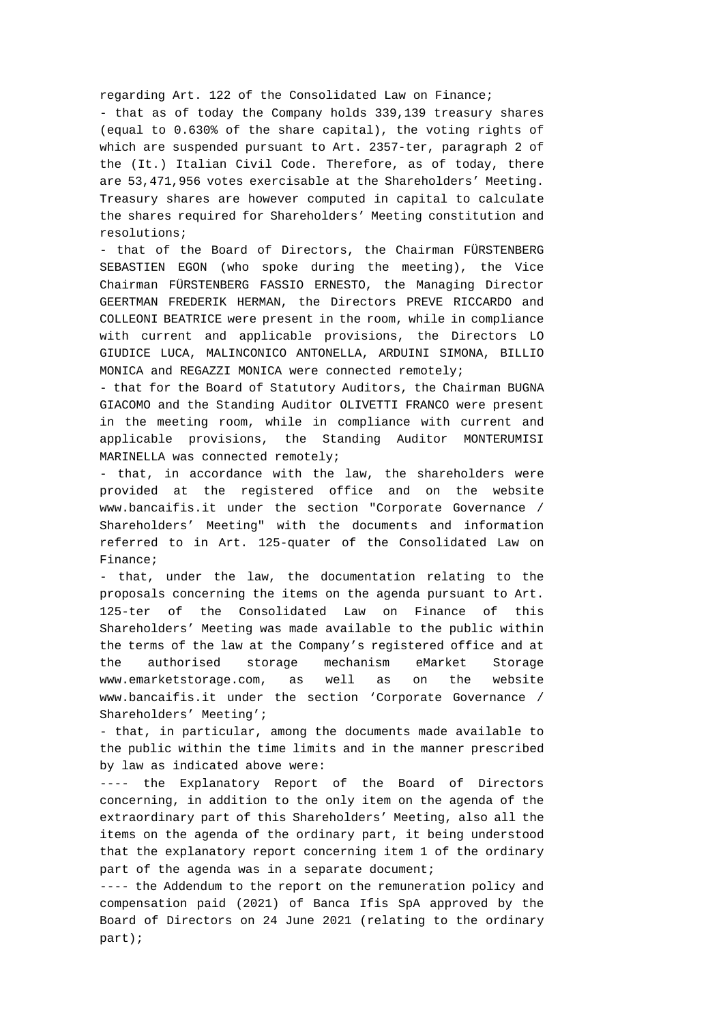## regarding Art. 122 of the Consolidated Law on Finance;

- that as of today the Company holds 339,139 treasury shares (equal to 0.630% of the share capital), the voting rights of which are suspended pursuant to Art. 2357-ter, paragraph 2 of the (It.) Italian Civil Code. Therefore, as of today, there are 53,471,956 votes exercisable at the Shareholders' Meeting. Treasury shares are however computed in capital to calculate the shares required for Shareholders' Meeting constitution and resolutions;

- that of the Board of Directors, the Chairman FÜRSTENBERG SEBASTIEN EGON (who spoke during the meeting), the Vice Chairman FÜRSTENBERG FASSIO ERNESTO, the Managing Director GEERTMAN FREDERIK HERMAN, the Directors PREVE RICCARDO and COLLEONI BEATRICE were present in the room, while in compliance with current and applicable provisions, the Directors LO GIUDICE LUCA, MALINCONICO ANTONELLA, ARDUINI SIMONA, BILLIO MONICA and REGAZZI MONICA were connected remotely;

- that for the Board of Statutory Auditors, the Chairman BUGNA GIACOMO and the Standing Auditor OLIVETTI FRANCO were present in the meeting room, while in compliance with current and applicable provisions, the Standing Auditor MONTERUMISI MARINELLA was connected remotely;

- that, in accordance with the law, the shareholders were provided at the registered office and on the website www.bancaifis.it under the section "Corporate Governance / Shareholders' Meeting" with the documents and information referred to in Art. 125-quater of the Consolidated Law on Finance;

- that, under the law, the documentation relating to the proposals concerning the items on the agenda pursuant to Art. 125-ter of the Consolidated Law on Finance of this Shareholders' Meeting was made available to the public within the terms of the law at the Company's registered office and at the authorised storage mechanism eMarket Storage www.emarketstorage.com, as well as on the website www.bancaifis.it under the section 'Corporate Governance / Shareholders' Meeting';

- that, in particular, among the documents made available to the public within the time limits and in the manner prescribed by law as indicated above were:

---- the Explanatory Report of the Board of Directors concerning, in addition to the only item on the agenda of the extraordinary part of this Shareholders' Meeting, also all the items on the agenda of the ordinary part, it being understood that the explanatory report concerning item 1 of the ordinary part of the agenda was in a separate document;

---- the Addendum to the report on the remuneration policy and compensation paid (2021) of Banca Ifis SpA approved by the Board of Directors on 24 June 2021 (relating to the ordinary part);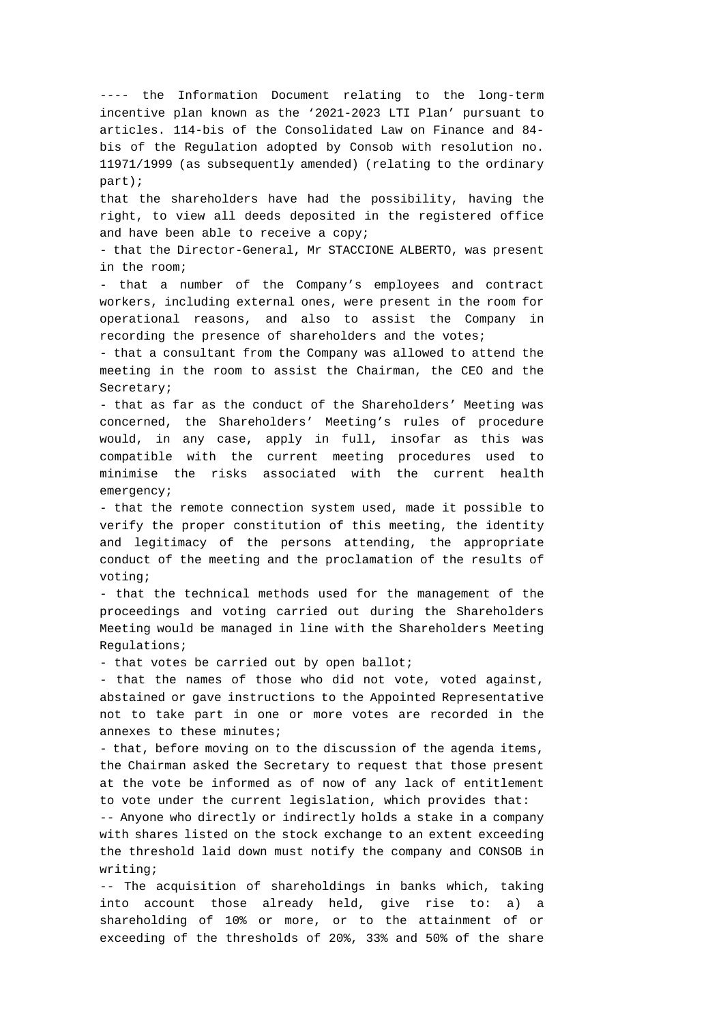---- the Information Document relating to the long-term incentive plan known as the '2021-2023 LTI Plan' pursuant to articles. 114-bis of the Consolidated Law on Finance and 84 bis of the Regulation adopted by Consob with resolution no. 11971/1999 (as subsequently amended) (relating to the ordinary part);

that the shareholders have had the possibility, having the right, to view all deeds deposited in the registered office and have been able to receive a copy;

- that the Director-General, Mr STACCIONE ALBERTO, was present in the room;

- that a number of the Company's employees and contract workers, including external ones, were present in the room for operational reasons, and also to assist the Company in recording the presence of shareholders and the votes;

- that a consultant from the Company was allowed to attend the meeting in the room to assist the Chairman, the CEO and the Secretary;

- that as far as the conduct of the Shareholders' Meeting was concerned, the Shareholders' Meeting's rules of procedure would, in any case, apply in full, insofar as this was compatible with the current meeting procedures used to minimise the risks associated with the current health emergency;

- that the remote connection system used, made it possible to verify the proper constitution of this meeting, the identity and legitimacy of the persons attending, the appropriate conduct of the meeting and the proclamation of the results of voting;

- that the technical methods used for the management of the proceedings and voting carried out during the Shareholders Meeting would be managed in line with the Shareholders Meeting Regulations;

- that votes be carried out by open ballot;

- that the names of those who did not vote, voted against, abstained or gave instructions to the Appointed Representative not to take part in one or more votes are recorded in the annexes to these minutes;

- that, before moving on to the discussion of the agenda items, the Chairman asked the Secretary to request that those present at the vote be informed as of now of any lack of entitlement to vote under the current legislation, which provides that:

-- Anyone who directly or indirectly holds a stake in a company with shares listed on the stock exchange to an extent exceeding the threshold laid down must notify the company and CONSOB in writing;

-- The acquisition of shareholdings in banks which, taking into account those already held, give rise to: a) a shareholding of 10% or more, or to the attainment of or exceeding of the thresholds of 20%, 33% and 50% of the share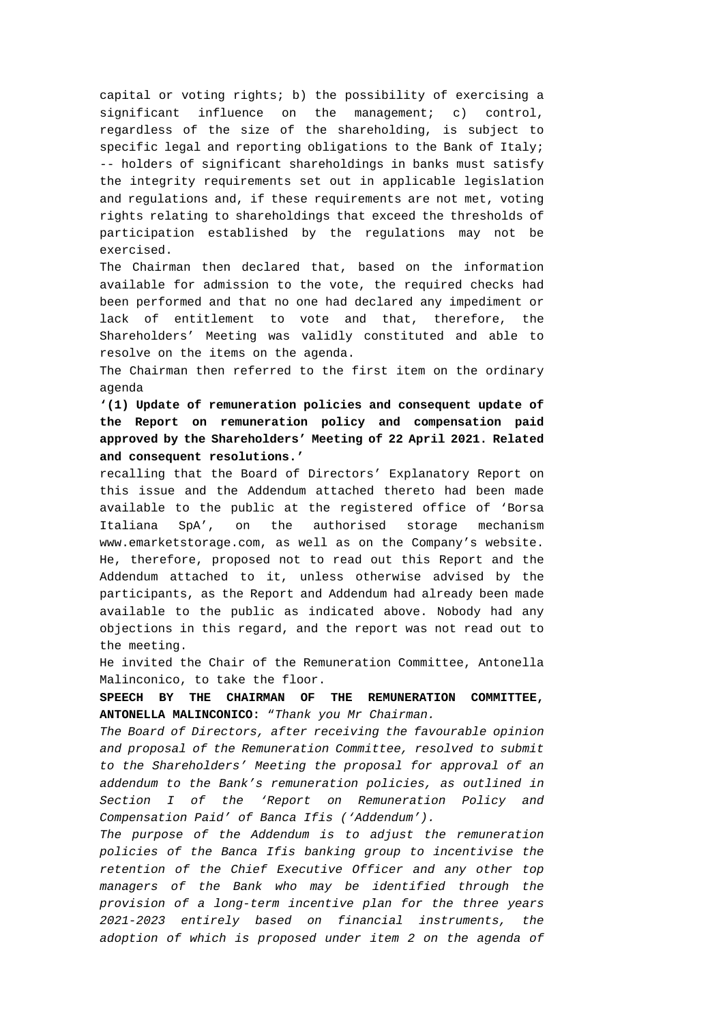capital or voting rights; b) the possibility of exercising a significant influence on the management; c) control, regardless of the size of the shareholding, is subject to specific legal and reporting obligations to the Bank of Italy; -- holders of significant shareholdings in banks must satisfy the integrity requirements set out in applicable legislation and regulations and, if these requirements are not met, voting rights relating to shareholdings that exceed the thresholds of participation established by the regulations may not be exercised.

The Chairman then declared that, based on the information available for admission to the vote, the required checks had been performed and that no one had declared any impediment or lack of entitlement to vote and that, therefore, the Shareholders' Meeting was validly constituted and able to resolve on the items on the agenda.

The Chairman then referred to the first item on the ordinary agenda

**'(1) Update of remuneration policies and consequent update of the Report on remuneration policy and compensation paid approved by the Shareholders' Meeting of 22 April 2021. Related and consequent resolutions.'** 

recalling that the Board of Directors' Explanatory Report on this issue and the Addendum attached thereto had been made available to the public at the registered office of 'Borsa Italiana SpA', on the authorised storage mechanism www.emarketstorage.com, as well as on the Company's website. He, therefore, proposed not to read out this Report and the Addendum attached to it, unless otherwise advised by the participants, as the Report and Addendum had already been made available to the public as indicated above. Nobody had any objections in this regard, and the report was not read out to the meeting.

He invited the Chair of the Remuneration Committee, Antonella Malinconico, to take the floor.

**SPEECH BY THE CHAIRMAN OF THE REMUNERATION COMMITTEE, ANTONELLA MALINCONICO:** "*Thank you Mr Chairman.* 

*The Board of Directors, after receiving the favourable opinion and proposal of the Remuneration Committee, resolved to submit to the Shareholders' Meeting the proposal for approval of an addendum to the Bank's remuneration policies, as outlined in Section I of the 'Report on Remuneration Policy and Compensation Paid' of Banca Ifis ('Addendum').* 

*The purpose of the Addendum is to adjust the remuneration policies of the Banca Ifis banking group to incentivise the retention of the Chief Executive Officer and any other top managers of the Bank who may be identified through the provision of a long-term incentive plan for the three years 2021-2023 entirely based on financial instruments, the adoption of which is proposed under item 2 on the agenda of*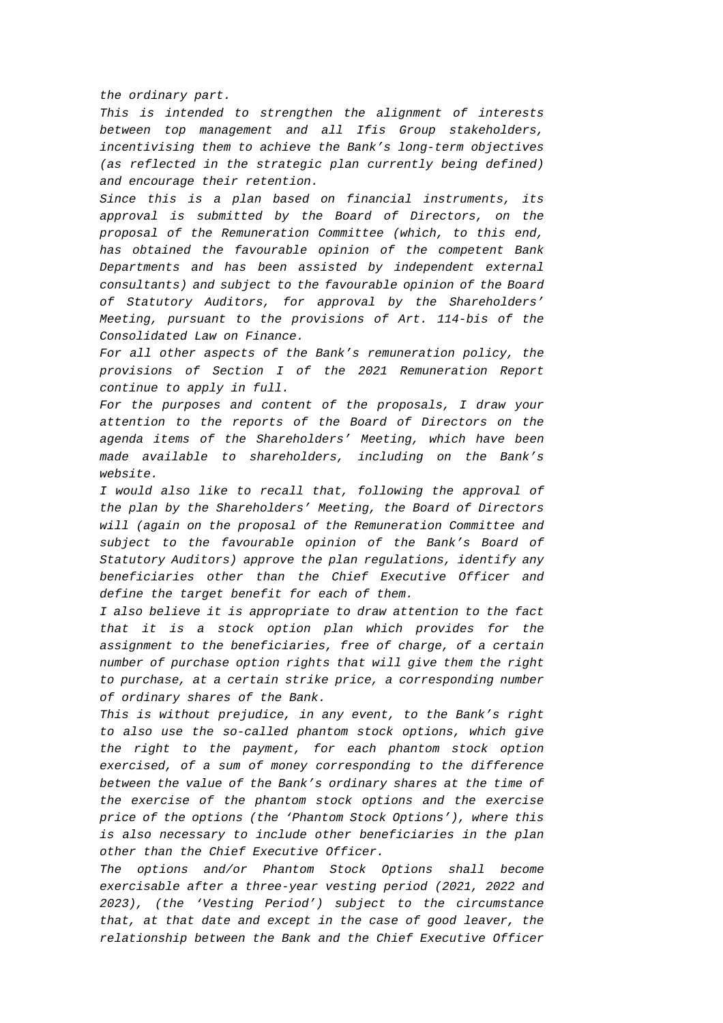*the ordinary part.* 

*This is intended to strengthen the alignment of interests between top management and all Ifis Group stakeholders, incentivising them to achieve the Bank's long-term objectives (as reflected in the strategic plan currently being defined) and encourage their retention.* 

*Since this is a plan based on financial instruments, its approval is submitted by the Board of Directors, on the proposal of the Remuneration Committee (which, to this end, has obtained the favourable opinion of the competent Bank Departments and has been assisted by independent external consultants) and subject to the favourable opinion of the Board of Statutory Auditors, for approval by the Shareholders' Meeting, pursuant to the provisions of Art. 114-bis of the Consolidated Law on Finance.* 

*For all other aspects of the Bank's remuneration policy, the provisions of Section I of the 2021 Remuneration Report continue to apply in full.* 

*For the purposes and content of the proposals, I draw your attention to the reports of the Board of Directors on the agenda items of the Shareholders' Meeting, which have been made available to shareholders, including on the Bank's website.* 

*I would also like to recall that, following the approval of the plan by the Shareholders' Meeting, the Board of Directors will (again on the proposal of the Remuneration Committee and subject to the favourable opinion of the Bank's Board of Statutory Auditors) approve the plan regulations, identify any beneficiaries other than the Chief Executive Officer and define the target benefit for each of them.* 

*I also believe it is appropriate to draw attention to the fact that it is a stock option plan which provides for the assignment to the beneficiaries, free of charge, of a certain number of purchase option rights that will give them the right to purchase, at a certain strike price, a corresponding number of ordinary shares of the Bank.* 

*This is without prejudice, in any event, to the Bank's right to also use the so-called phantom stock options, which give the right to the payment, for each phantom stock option exercised, of a sum of money corresponding to the difference between the value of the Bank's ordinary shares at the time of the exercise of the phantom stock options and the exercise price of the options (the 'Phantom Stock Options'), where this is also necessary to include other beneficiaries in the plan other than the Chief Executive Officer.* 

*The options and/or Phantom Stock Options shall become exercisable after a three-year vesting period (2021, 2022 and 2023), (the 'Vesting Period') subject to the circumstance that, at that date and except in the case of good leaver, the relationship between the Bank and the Chief Executive Officer*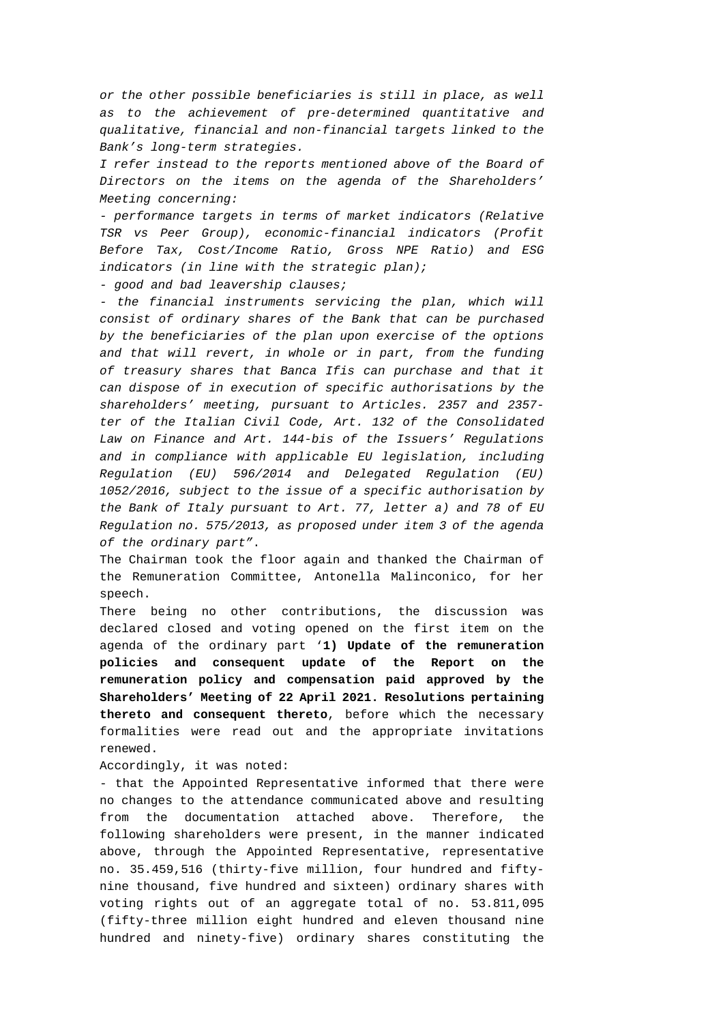*or the other possible beneficiaries is still in place, as well as to the achievement of pre-determined quantitative and qualitative, financial and non-financial targets linked to the Bank's long-term strategies.* 

*I refer instead to the reports mentioned above of the Board of Directors on the items on the agenda of the Shareholders' Meeting concerning:* 

*- performance targets in terms of market indicators (Relative TSR vs Peer Group), economic-financial indicators (Profit Before Tax, Cost/Income Ratio, Gross NPE Ratio) and ESG indicators (in line with the strategic plan);* 

*- good and bad leavership clauses;* 

*- the financial instruments servicing the plan, which will consist of ordinary shares of the Bank that can be purchased by the beneficiaries of the plan upon exercise of the options and that will revert, in whole or in part, from the funding of treasury shares that Banca Ifis can purchase and that it can dispose of in execution of specific authorisations by the shareholders' meeting, pursuant to Articles. 2357 and 2357 ter of the Italian Civil Code, Art. 132 of the Consolidated Law on Finance and Art. 144-bis of the Issuers' Regulations and in compliance with applicable EU legislation, including Regulation (EU) 596/2014 and Delegated Regulation (EU) 1052/2016, subject to the issue of a specific authorisation by the Bank of Italy pursuant to Art. 77, letter a) and 78 of EU Regulation no. 575/2013, as proposed under item 3 of the agenda of the ordinary part"*.

The Chairman took the floor again and thanked the Chairman of the Remuneration Committee, Antonella Malinconico, for her speech.

There being no other contributions, the discussion was declared closed and voting opened on the first item on the agenda of the ordinary part '**1) Update of the remuneration policies and consequent update of the Report on the remuneration policy and compensation paid approved by the Shareholders' Meeting of 22 April 2021. Resolutions pertaining thereto and consequent thereto**, before which the necessary formalities were read out and the appropriate invitations renewed.

Accordingly, it was noted:

- that the Appointed Representative informed that there were no changes to the attendance communicated above and resulting from the documentation attached above. Therefore, the following shareholders were present, in the manner indicated above, through the Appointed Representative, representative no. 35.459,516 (thirty-five million, four hundred and fiftynine thousand, five hundred and sixteen) ordinary shares with voting rights out of an aggregate total of no. 53.811,095 (fifty-three million eight hundred and eleven thousand nine hundred and ninety-five) ordinary shares constituting the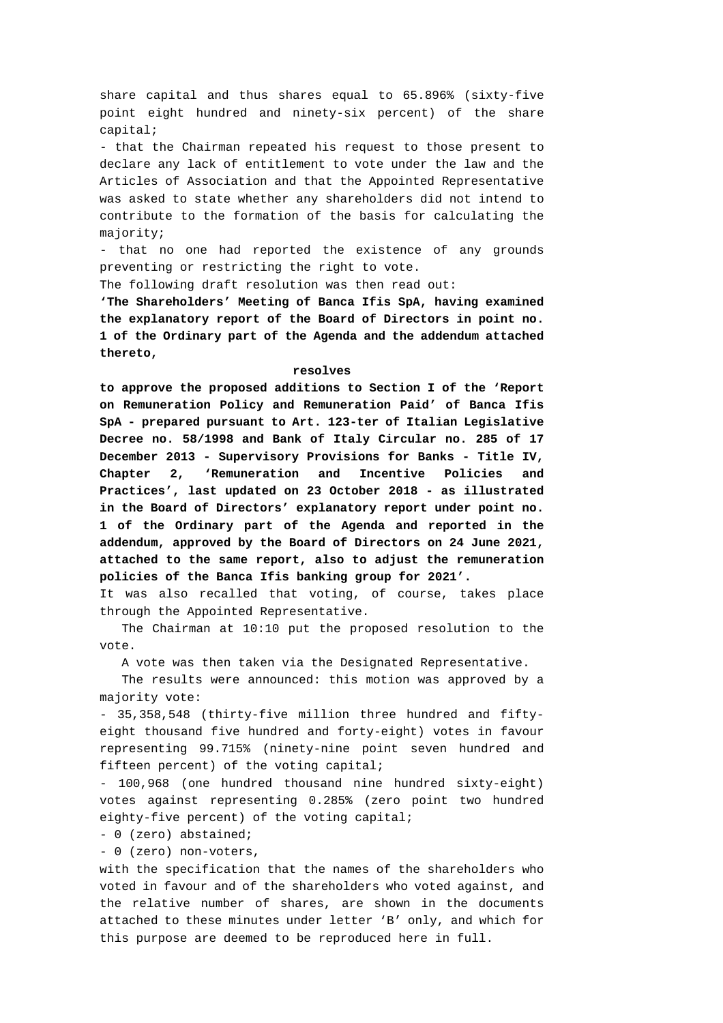share capital and thus shares equal to 65.896% (sixty-five point eight hundred and ninety-six percent) of the share capital;

- that the Chairman repeated his request to those present to declare any lack of entitlement to vote under the law and the Articles of Association and that the Appointed Representative was asked to state whether any shareholders did not intend to contribute to the formation of the basis for calculating the majority;

- that no one had reported the existence of any grounds preventing or restricting the right to vote.

The following draft resolution was then read out:

**'The Shareholders' Meeting of Banca Ifis SpA, having examined the explanatory report of the Board of Directors in point no. 1 of the Ordinary part of the Agenda and the addendum attached thereto,** 

#### **resolves**

**to approve the proposed additions to Section I of the 'Report on Remuneration Policy and Remuneration Paid' of Banca Ifis SpA - prepared pursuant to Art. 123-ter of Italian Legislative Decree no. 58/1998 and Bank of Italy Circular no. 285 of 17 December 2013 - Supervisory Provisions for Banks - Title IV, Chapter 2, 'Remuneration and Incentive Policies and Practices', last updated on 23 October 2018 - as illustrated in the Board of Directors' explanatory report under point no. 1 of the Ordinary part of the Agenda and reported in the addendum, approved by the Board of Directors on 24 June 2021, attached to the same report, also to adjust the remuneration policies of the Banca Ifis banking group for 2021'.**

It was also recalled that voting, of course, takes place through the Appointed Representative.

 The Chairman at 10:10 put the proposed resolution to the vote.

A vote was then taken via the Designated Representative.

 The results were announced: this motion was approved by a majority vote:

- 35,358,548 (thirty-five million three hundred and fiftyeight thousand five hundred and forty-eight) votes in favour representing 99.715% (ninety-nine point seven hundred and fifteen percent) of the voting capital;

- 100,968 (one hundred thousand nine hundred sixty-eight) votes against representing 0.285% (zero point two hundred eighty-five percent) of the voting capital;

- 0 (zero) abstained;

- 0 (zero) non-voters,

with the specification that the names of the shareholders who voted in favour and of the shareholders who voted against, and the relative number of shares, are shown in the documents attached to these minutes under letter 'B' only, and which for this purpose are deemed to be reproduced here in full.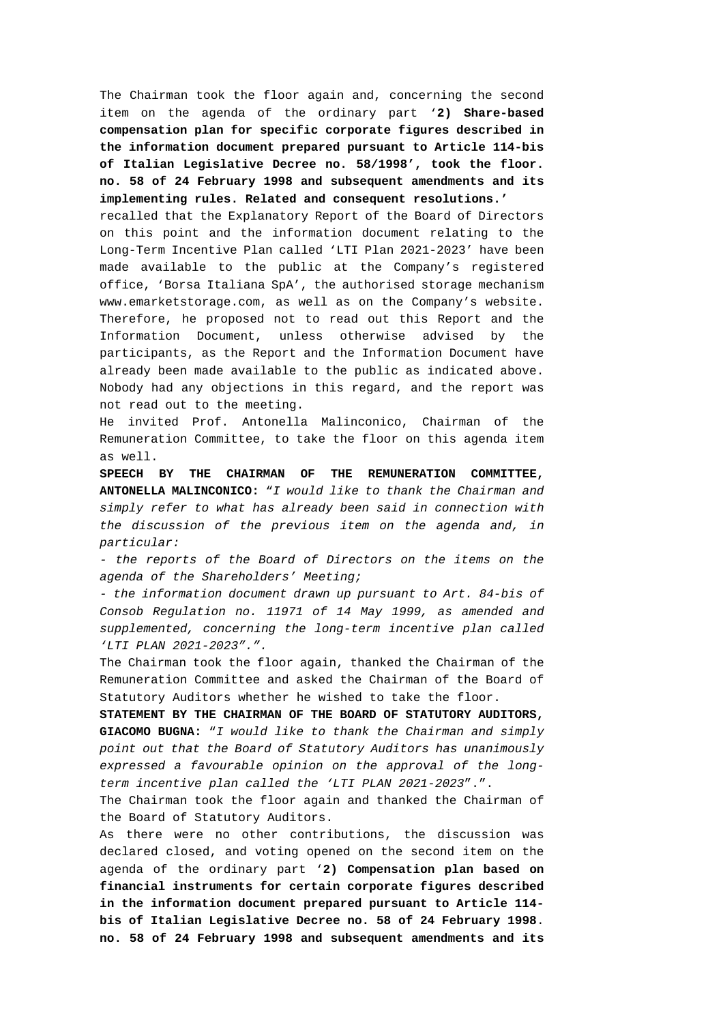The Chairman took the floor again and, concerning the second item on the agenda of the ordinary part '**2) Share-based compensation plan for specific corporate figures described in the information document prepared pursuant to Article 114-bis of Italian Legislative Decree no. 58/1998', took the floor. no. 58 of 24 February 1998 and subsequent amendments and its implementing rules. Related and consequent resolutions.'** 

recalled that the Explanatory Report of the Board of Directors on this point and the information document relating to the Long-Term Incentive Plan called 'LTI Plan 2021-2023' have been made available to the public at the Company's registered office, 'Borsa Italiana SpA', the authorised storage mechanism www.emarketstorage.com, as well as on the Company's website. Therefore, he proposed not to read out this Report and the Information Document, unless otherwise advised by the participants, as the Report and the Information Document have already been made available to the public as indicated above. Nobody had any objections in this regard, and the report was not read out to the meeting.

He invited Prof. Antonella Malinconico, Chairman of the Remuneration Committee, to take the floor on this agenda item as well.

**SPEECH BY THE CHAIRMAN OF THE REMUNERATION COMMITTEE, ANTONELLA MALINCONICO:** "*I would like to thank the Chairman and simply refer to what has already been said in connection with the discussion of the previous item on the agenda and, in particular:* 

*- the reports of the Board of Directors on the items on the agenda of the Shareholders' Meeting;* 

*- the information document drawn up pursuant to Art. 84-bis of Consob Regulation no. 11971 of 14 May 1999, as amended and supplemented, concerning the long-term incentive plan called 'LTI PLAN 2021-2023".".* 

The Chairman took the floor again, thanked the Chairman of the Remuneration Committee and asked the Chairman of the Board of Statutory Auditors whether he wished to take the floor.

**STATEMENT BY THE CHAIRMAN OF THE BOARD OF STATUTORY AUDITORS, GIACOMO BUGNA:** "*I would like to thank the Chairman and simply point out that the Board of Statutory Auditors has unanimously expressed a favourable opinion on the approval of the longterm incentive plan called the 'LTI PLAN 2021-2023*".".

The Chairman took the floor again and thanked the Chairman of the Board of Statutory Auditors.

As there were no other contributions, the discussion was declared closed, and voting opened on the second item on the agenda of the ordinary part '**2) Compensation plan based on financial instruments for certain corporate figures described in the information document prepared pursuant to Article 114 bis of Italian Legislative Decree no. 58 of 24 February 1998**. **no. 58 of 24 February 1998 and subsequent amendments and its**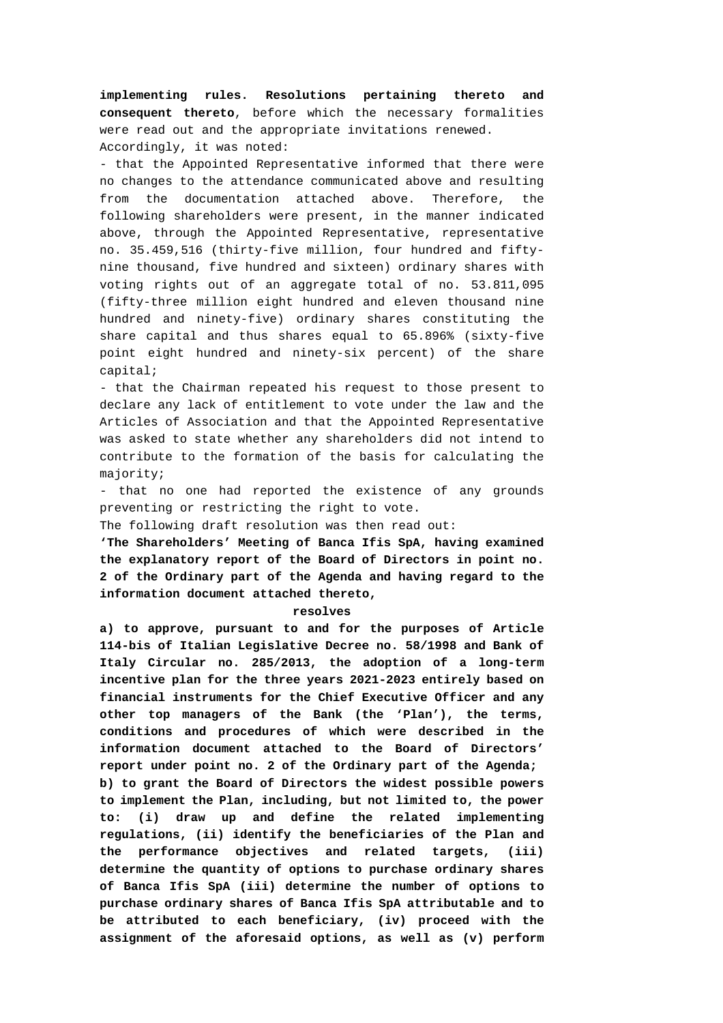**implementing rules. Resolutions pertaining thereto and consequent thereto**, before which the necessary formalities were read out and the appropriate invitations renewed. Accordingly, it was noted:

- that the Appointed Representative informed that there were no changes to the attendance communicated above and resulting from the documentation attached above. Therefore, the following shareholders were present, in the manner indicated above, through the Appointed Representative, representative no. 35.459,516 (thirty-five million, four hundred and fiftynine thousand, five hundred and sixteen) ordinary shares with voting rights out of an aggregate total of no. 53.811,095 (fifty-three million eight hundred and eleven thousand nine hundred and ninety-five) ordinary shares constituting the share capital and thus shares equal to 65.896% (sixty-five point eight hundred and ninety-six percent) of the share capital;

- that the Chairman repeated his request to those present to declare any lack of entitlement to vote under the law and the Articles of Association and that the Appointed Representative was asked to state whether any shareholders did not intend to contribute to the formation of the basis for calculating the majority;

- that no one had reported the existence of any grounds preventing or restricting the right to vote.

The following draft resolution was then read out:

**'The Shareholders' Meeting of Banca Ifis SpA, having examined the explanatory report of the Board of Directors in point no. 2 of the Ordinary part of the Agenda and having regard to the information document attached thereto,** 

### **resolves**

**a) to approve, pursuant to and for the purposes of Article 114-bis of Italian Legislative Decree no. 58/1998 and Bank of Italy Circular no. 285/2013, the adoption of a long-term incentive plan for the three years 2021-2023 entirely based on financial instruments for the Chief Executive Officer and any other top managers of the Bank (the 'Plan'), the terms, conditions and procedures of which were described in the information document attached to the Board of Directors' report under point no. 2 of the Ordinary part of the Agenda; b) to grant the Board of Directors the widest possible powers to implement the Plan, including, but not limited to, the power to: (i) draw up and define the related implementing regulations, (ii) identify the beneficiaries of the Plan and the performance objectives and related targets, (iii) determine the quantity of options to purchase ordinary shares of Banca Ifis SpA (iii) determine the number of options to purchase ordinary shares of Banca Ifis SpA attributable and to be attributed to each beneficiary, (iv) proceed with the assignment of the aforesaid options, as well as (v) perform**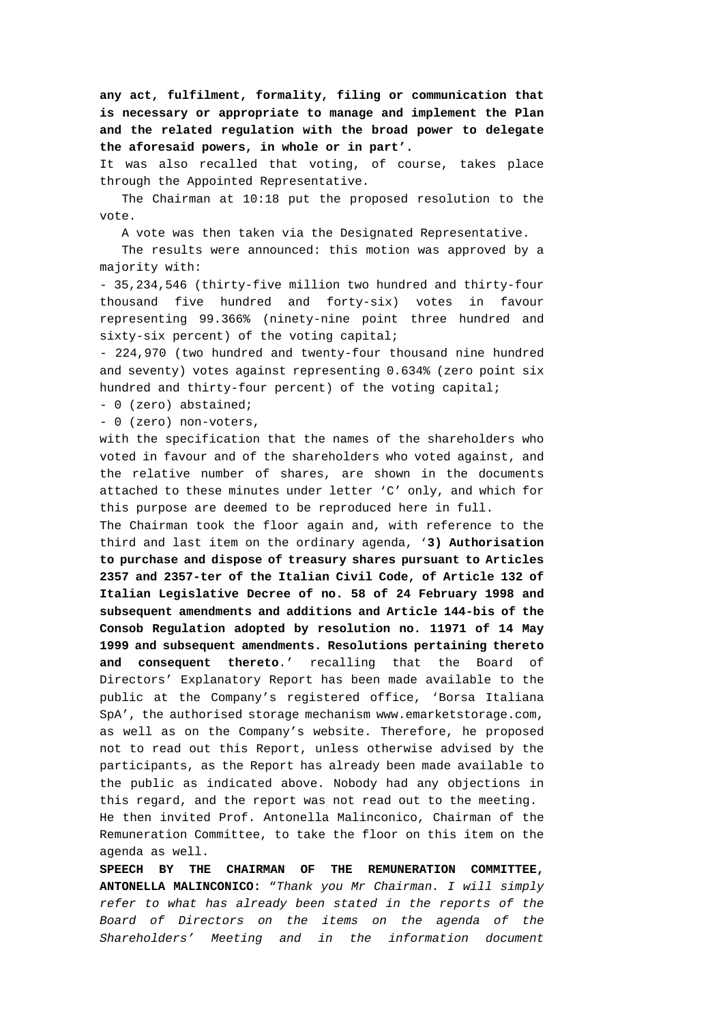**any act, fulfilment, formality, filing or communication that is necessary or appropriate to manage and implement the Plan and the related regulation with the broad power to delegate the aforesaid powers, in whole or in part'.**

It was also recalled that voting, of course, takes place through the Appointed Representative.

 The Chairman at 10:18 put the proposed resolution to the vote.

A vote was then taken via the Designated Representative.

 The results were announced: this motion was approved by a majority with:

- 35,234,546 (thirty-five million two hundred and thirty-four thousand five hundred and forty-six) votes in favour representing 99.366% (ninety-nine point three hundred and sixty-six percent) of the voting capital;

- 224,970 (two hundred and twenty-four thousand nine hundred and seventy) votes against representing 0.634% (zero point six hundred and thirty-four percent) of the voting capital;

- 0 (zero) abstained;

- 0 (zero) non-voters,

with the specification that the names of the shareholders who voted in favour and of the shareholders who voted against, and the relative number of shares, are shown in the documents attached to these minutes under letter 'C' only, and which for this purpose are deemed to be reproduced here in full.

The Chairman took the floor again and, with reference to the third and last item on the ordinary agenda, '**3) Authorisation to purchase and dispose of treasury shares pursuant to Articles 2357 and 2357-ter of the Italian Civil Code, of Article 132 of Italian Legislative Decree of no. 58 of 24 February 1998 and subsequent amendments and additions and Article 144-bis of the Consob Regulation adopted by resolution no. 11971 of 14 May 1999 and subsequent amendments. Resolutions pertaining thereto and consequent thereto**.' recalling that the Board of Directors' Explanatory Report has been made available to the public at the Company's registered office, 'Borsa Italiana SpA', the authorised storage mechanism www.emarketstorage.com, as well as on the Company's website. Therefore, he proposed not to read out this Report, unless otherwise advised by the participants, as the Report has already been made available to the public as indicated above. Nobody had any objections in this regard, and the report was not read out to the meeting.

He then invited Prof. Antonella Malinconico, Chairman of the Remuneration Committee, to take the floor on this item on the agenda as well.

**SPEECH BY THE CHAIRMAN OF THE REMUNERATION COMMITTEE, ANTONELLA MALINCONICO:** "*Thank you Mr Chairman. I will simply refer to what has already been stated in the reports of the Board of Directors on the items on the agenda of the Shareholders' Meeting and in the information document*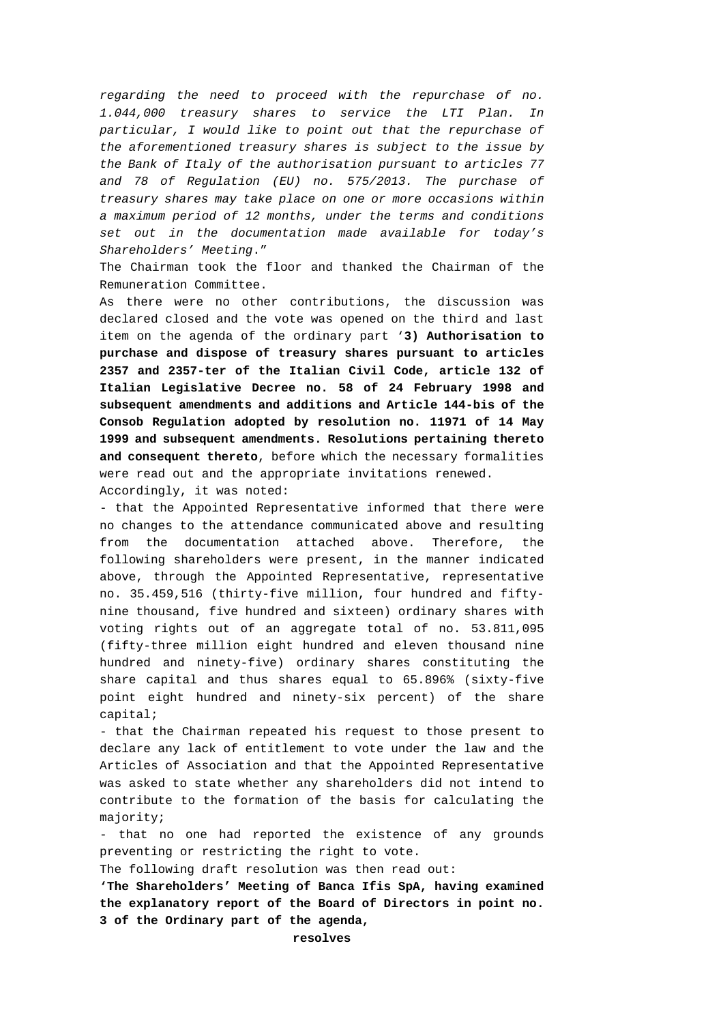*regarding the need to proceed with the repurchase of no. 1.044,000 treasury shares to service the LTI Plan. In particular, I would like to point out that the repurchase of the aforementioned treasury shares is subject to the issue by the Bank of Italy of the authorisation pursuant to articles 77 and 78 of Regulation (EU) no. 575/2013. The purchase of treasury shares may take place on one or more occasions within a maximum period of 12 months, under the terms and conditions set out in the documentation made available for today's Shareholders' Meeting*."

The Chairman took the floor and thanked the Chairman of the Remuneration Committee.

As there were no other contributions, the discussion was declared closed and the vote was opened on the third and last item on the agenda of the ordinary part '**3) Authorisation to purchase and dispose of treasury shares pursuant to articles 2357 and 2357-ter of the Italian Civil Code, article 132 of Italian Legislative Decree no. 58 of 24 February 1998 and subsequent amendments and additions and Article 144-bis of the Consob Regulation adopted by resolution no. 11971 of 14 May 1999 and subsequent amendments. Resolutions pertaining thereto and consequent thereto**, before which the necessary formalities were read out and the appropriate invitations renewed.

Accordingly, it was noted:

- that the Appointed Representative informed that there were no changes to the attendance communicated above and resulting from the documentation attached above. Therefore, the following shareholders were present, in the manner indicated above, through the Appointed Representative, representative no. 35.459,516 (thirty-five million, four hundred and fiftynine thousand, five hundred and sixteen) ordinary shares with voting rights out of an aggregate total of no. 53.811,095 (fifty-three million eight hundred and eleven thousand nine hundred and ninety-five) ordinary shares constituting the share capital and thus shares equal to 65.896% (sixty-five point eight hundred and ninety-six percent) of the share capital;

- that the Chairman repeated his request to those present to declare any lack of entitlement to vote under the law and the Articles of Association and that the Appointed Representative was asked to state whether any shareholders did not intend to contribute to the formation of the basis for calculating the majority;

- that no one had reported the existence of any grounds preventing or restricting the right to vote.

The following draft resolution was then read out:

**'The Shareholders' Meeting of Banca Ifis SpA, having examined the explanatory report of the Board of Directors in point no. 3 of the Ordinary part of the agenda,** 

**resolves**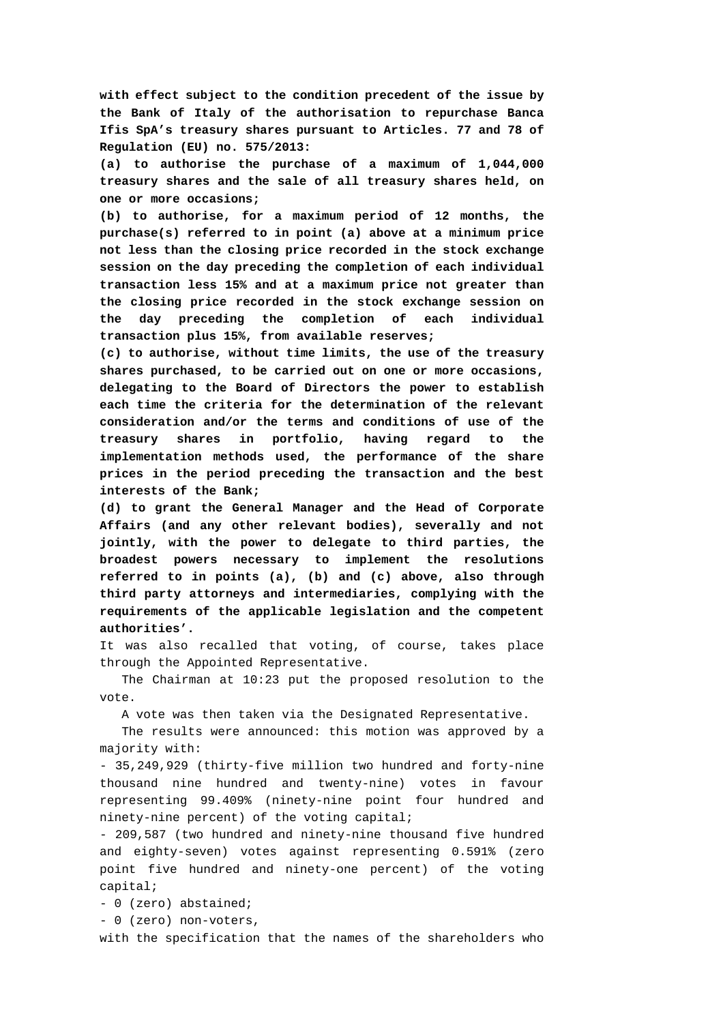**with effect subject to the condition precedent of the issue by the Bank of Italy of the authorisation to repurchase Banca Ifis SpA's treasury shares pursuant to Articles. 77 and 78 of Regulation (EU) no. 575/2013:** 

**(a) to authorise the purchase of a maximum of 1,044,000 treasury shares and the sale of all treasury shares held, on one or more occasions;** 

**(b) to authorise, for a maximum period of 12 months, the purchase(s) referred to in point (a) above at a minimum price not less than the closing price recorded in the stock exchange session on the day preceding the completion of each individual transaction less 15% and at a maximum price not greater than the closing price recorded in the stock exchange session on the day preceding the completion of each individual transaction plus 15%, from available reserves;** 

**(c) to authorise, without time limits, the use of the treasury shares purchased, to be carried out on one or more occasions, delegating to the Board of Directors the power to establish each time the criteria for the determination of the relevant consideration and/or the terms and conditions of use of the treasury shares in portfolio, having regard to the implementation methods used, the performance of the share prices in the period preceding the transaction and the best interests of the Bank;** 

**(d) to grant the General Manager and the Head of Corporate Affairs (and any other relevant bodies), severally and not jointly, with the power to delegate to third parties, the broadest powers necessary to implement the resolutions referred to in points (a), (b) and (c) above, also through third party attorneys and intermediaries, complying with the requirements of the applicable legislation and the competent authorities'.**

It was also recalled that voting, of course, takes place through the Appointed Representative.

 The Chairman at 10:23 put the proposed resolution to the vote.

A vote was then taken via the Designated Representative.

 The results were announced: this motion was approved by a majority with:

- 35,249,929 (thirty-five million two hundred and forty-nine thousand nine hundred and twenty-nine) votes in favour representing 99.409% (ninety-nine point four hundred and ninety-nine percent) of the voting capital;

- 209,587 (two hundred and ninety-nine thousand five hundred and eighty-seven) votes against representing 0.591% (zero point five hundred and ninety-one percent) of the voting capital;

- 0 (zero) abstained;

- 0 (zero) non-voters,

with the specification that the names of the shareholders who